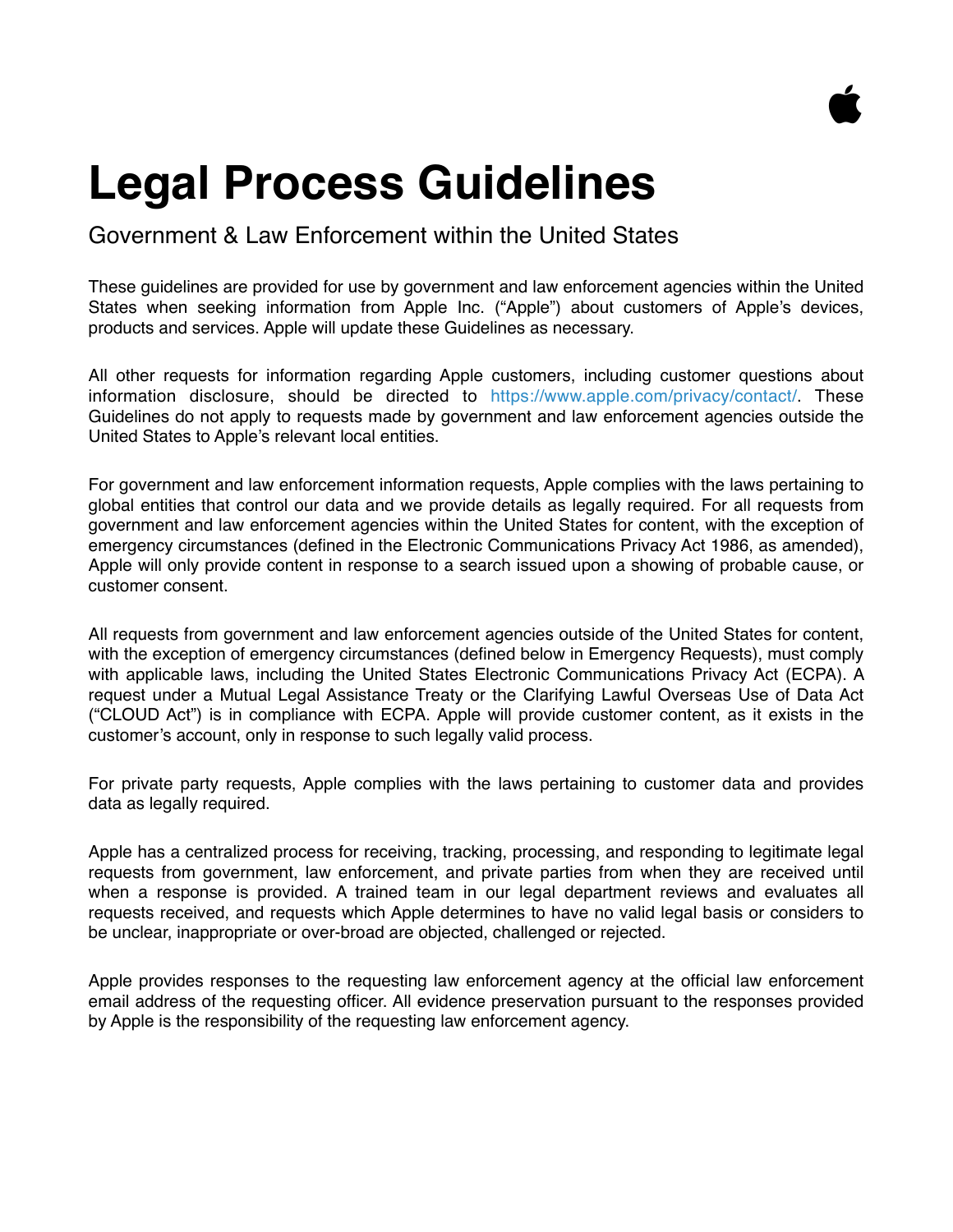

# **Legal Process Guidelines**

# Government & Law Enforcement within the United States

These guidelines are provided for use by government and law enforcement agencies within the United States when seeking information from Apple Inc. ("Apple") about customers of Apple's devices, products and services. Apple will update these Guidelines as necessary.

All other requests for information regarding Apple customers, including customer questions about information disclosure, should be directed to <https://www.apple.com/privacy/contact/>. These Guidelines do not apply to requests made by government and law enforcement agencies outside the United States to Apple's relevant local entities.

For government and law enforcement information requests, Apple complies with the laws pertaining to global entities that control our data and we provide details as legally required. For all requests from government and law enforcement agencies within the United States for content, with the exception of emergency circumstances (defined in the Electronic Communications Privacy Act 1986, as amended), Apple will only provide content in response to a search issued upon a showing of probable cause, or customer consent.

All requests from government and law enforcement agencies outside of the United States for content, with the exception of emergency circumstances (defined below in Emergency Requests), must comply with applicable laws, including the United States Electronic Communications Privacy Act (ECPA). A request under a Mutual Legal Assistance Treaty or the Clarifying Lawful Overseas Use of Data Act ("CLOUD Act") is in compliance with ECPA. Apple will provide customer content, as it exists in the customer's account, only in response to such legally valid process.

For private party requests, Apple complies with the laws pertaining to customer data and provides data as legally required.

Apple has a centralized process for receiving, tracking, processing, and responding to legitimate legal requests from government, law enforcement, and private parties from when they are received until when a response is provided. A trained team in our legal department reviews and evaluates all requests received, and requests which Apple determines to have no valid legal basis or considers to be unclear, inappropriate or over-broad are objected, challenged or rejected.

Apple provides responses to the requesting law enforcement agency at the official law enforcement email address of the requesting officer. All evidence preservation pursuant to the responses provided by Apple is the responsibility of the requesting law enforcement agency.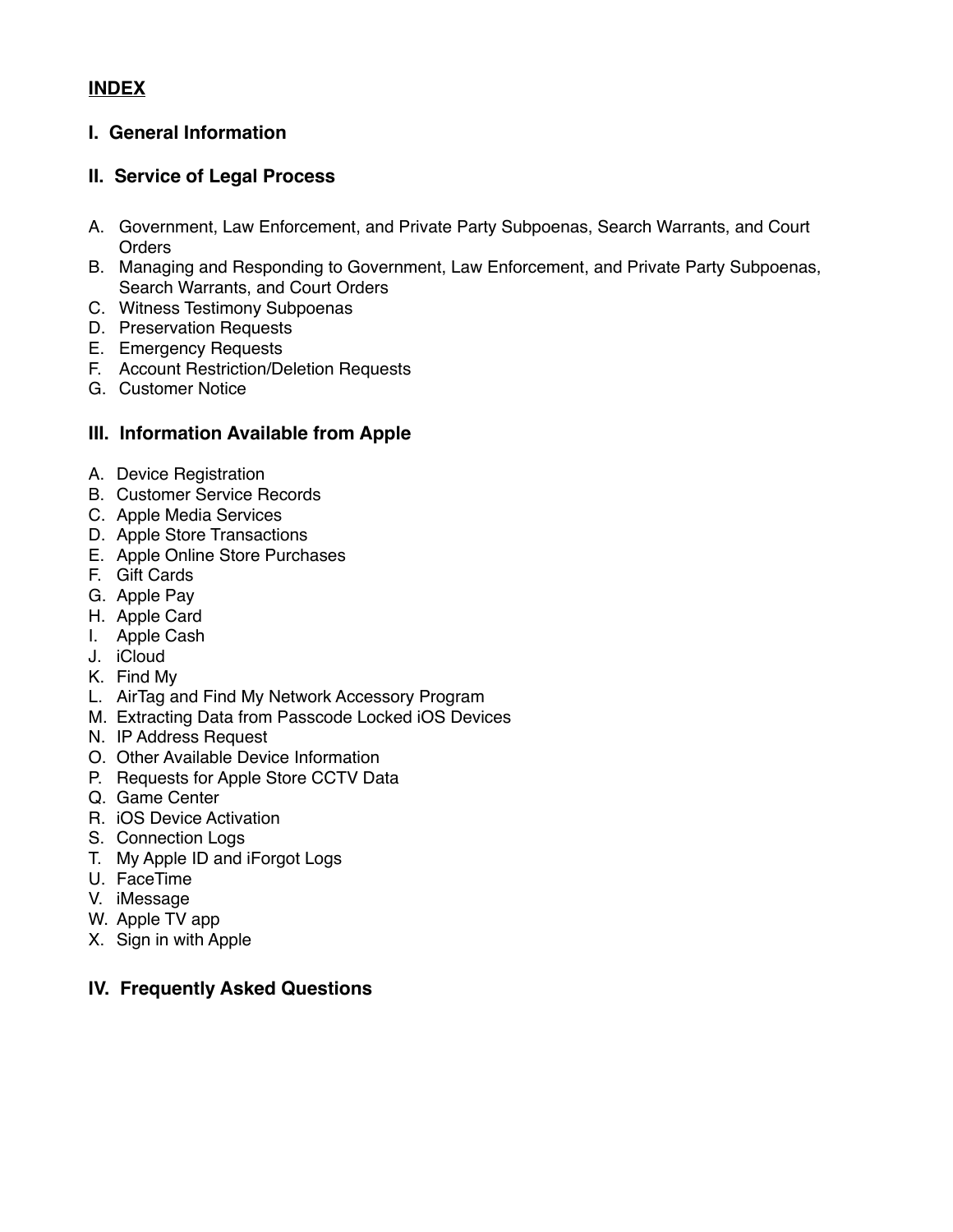# **INDEX**

## **I. General Information**

### **II. Service of Legal Process**

- A. Government, Law Enforcement, and Private Party Subpoenas, Search Warrants, and Court **Orders**
- B. Managing and Responding to Government, Law Enforcement, and Private Party Subpoenas, Search Warrants, and Court Orders
- C. Witness Testimony Subpoenas
- D. Preservation Requests
- E. Emergency Requests
- F. Account Restriction/Deletion Requests
- G. Customer Notice

#### **III. Information Available from Apple**

- A. Device Registration
- B. Customer Service Records
- C. Apple Media Services
- D. Apple Store Transactions
- E. Apple Online Store Purchases
- F. Gift Cards
- G. Apple Pay
- H. Apple Card
- I. Apple Cash
- J. iCloud
- K. Find My
- L. AirTag and Find My Network Accessory Program
- M. Extracting Data from Passcode Locked iOS Devices
- N. IP Address Request
- O. Other Available Device Information
- P. Requests for Apple Store CCTV Data
- Q. Game Center
- R. iOS Device Activation
- S. Connection Logs
- T. My Apple ID and iForgot Logs
- U. FaceTime
- V. iMessage
- W. Apple TV app
- X. Sign in with Apple

# **IV. Frequently Asked Questions**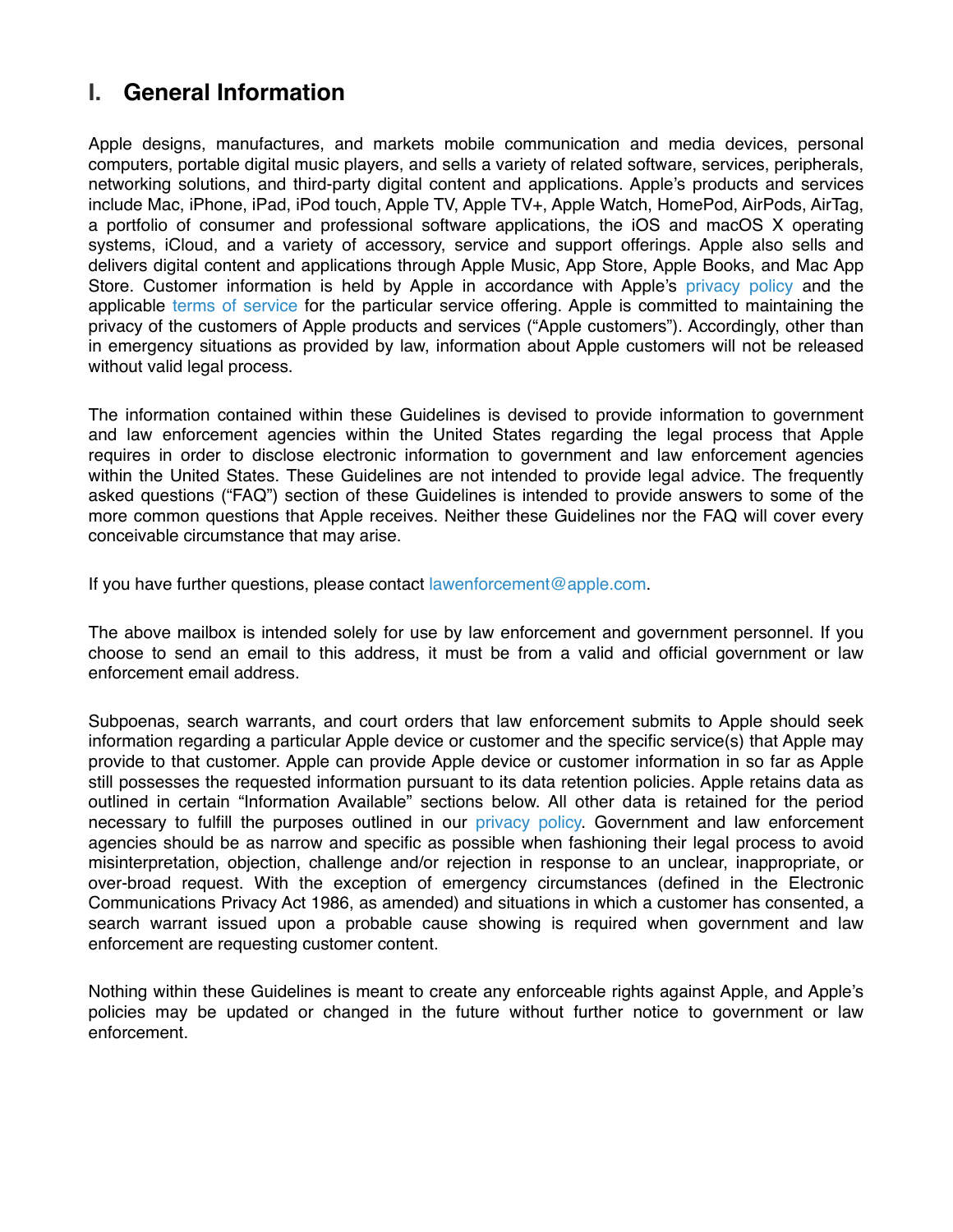# **I. General Information**

Apple designs, manufactures, and markets mobile communication and media devices, personal computers, portable digital music players, and sells a variety of related software, services, peripherals, networking solutions, and third-party digital content and applications. Apple's products and services include Mac, iPhone, iPad, iPod touch, Apple TV, Apple TV+, Apple Watch, HomePod, AirPods, AirTag, a portfolio of consumer and professional software applications, the iOS and macOS X operating systems, iCloud, and a variety of accessory, service and support offerings. Apple also sells and delivers digital content and applications through Apple Music, App Store, Apple Books, and Mac App Store. Customer information is held by Apple in accordance with Apple's [privacy policy](http://www.apple.com/legal/privacy/) and the applicable [terms of service](http://www.apple.com/legal/) for the particular service offering. Apple is committed to maintaining the privacy of the customers of Apple products and services ("Apple customers"). Accordingly, other than in emergency situations as provided by law, information about Apple customers will not be released without valid legal process.

The information contained within these Guidelines is devised to provide information to government and law enforcement agencies within the United States regarding the legal process that Apple requires in order to disclose electronic information to government and law enforcement agencies within the United States. These Guidelines are not intended to provide legal advice. The frequently asked questions ("FAQ") section of these Guidelines is intended to provide answers to some of the more common questions that Apple receives. Neither these Guidelines nor the FAQ will cover every conceivable circumstance that may arise.

If you have further questions, please contact [lawenforcement@apple.com](mailto:lawenforcement@apple.com).

The above mailbox is intended solely for use by law enforcement and government personnel. If you choose to send an email to this address, it must be from a valid and official government or law enforcement email address.

Subpoenas, search warrants, and court orders that law enforcement submits to Apple should seek information regarding a particular Apple device or customer and the specific service(s) that Apple may provide to that customer. Apple can provide Apple device or customer information in so far as Apple still possesses the requested information pursuant to its data retention policies. Apple retains data as outlined in certain "Information Available" sections below. All other data is retained for the period necessary to fulfill the purposes outlined in our [privacy policy.](http://www.apple.com/legal/privacy/) Government and law enforcement agencies should be as narrow and specific as possible when fashioning their legal process to avoid misinterpretation, objection, challenge and/or rejection in response to an unclear, inappropriate, or over-broad request. With the exception of emergency circumstances (defined in the Electronic Communications Privacy Act 1986, as amended) and situations in which a customer has consented, a search warrant issued upon a probable cause showing is required when government and law enforcement are requesting customer content.

Nothing within these Guidelines is meant to create any enforceable rights against Apple, and Apple's policies may be updated or changed in the future without further notice to government or law enforcement.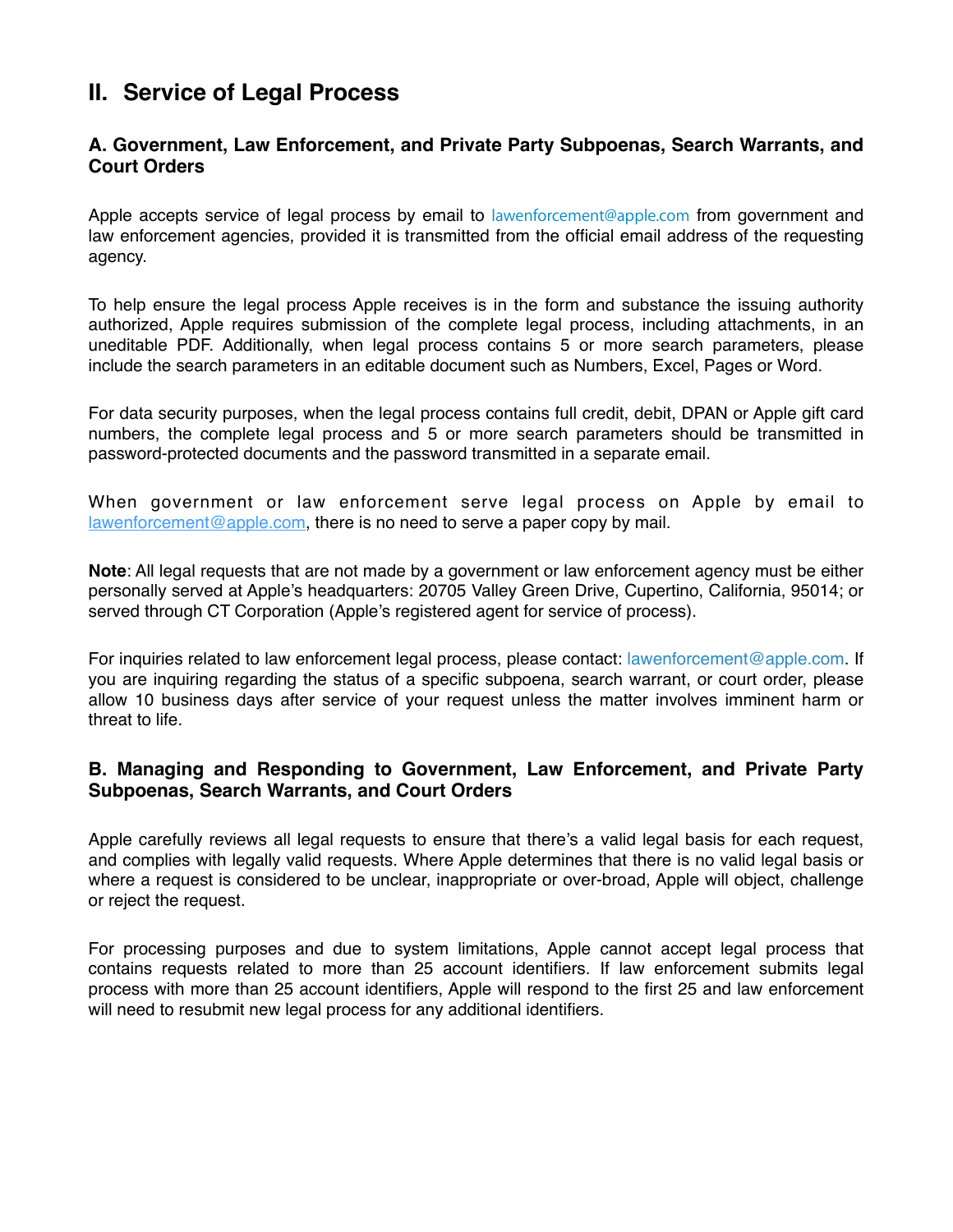# **II. Service of Legal Process**

#### **A. Government, Law Enforcement, and Private Party Subpoenas, Search Warrants, and Court Orders**

Apple accepts service of legal process by email to [lawenforcement@apple.com](mailto:lawenforcement@apple.com) from government and law enforcement agencies, provided it is transmitted from the official email address of the requesting agency.

To help ensure the legal process Apple receives is in the form and substance the issuing authority authorized, Apple requires submission of the complete legal process, including attachments, in an uneditable PDF. Additionally, when legal process contains 5 or more search parameters, please include the search parameters in an editable document such as Numbers, Excel, Pages or Word.

For data security purposes, when the legal process contains full credit, debit, DPAN or Apple gift card numbers, the complete legal process and 5 or more search parameters should be transmitted in password-protected documents and the password transmitted in a separate email.

When government or law enforcement serve legal process on Apple by email to  $lawenforcement@apple.com$ , there is no need to serve a paper copy by mail.

**Note**: All legal requests that are not made by a government or law enforcement agency must be either personally served at Apple's headquarters: 20705 Valley Green Drive, Cupertino, California, 95014; or served through CT Corporation (Apple's registered agent for service of process).

For inquiries related to law enforcement legal process, please contact: [lawenforcement@apple.com.](mailto:lawenforcement@apple.com) If you are inquiring regarding the status of a specific subpoena, search warrant, or court order, please allow 10 business days after service of your request unless the matter involves imminent harm or threat to life.

#### **B. Managing and Responding to Government, Law Enforcement, and Private Party Subpoenas, Search Warrants, and Court Orders**

Apple carefully reviews all legal requests to ensure that there's a valid legal basis for each request, and complies with legally valid requests. Where Apple determines that there is no valid legal basis or where a request is considered to be unclear, inappropriate or over-broad, Apple will object, challenge or reject the request.

For processing purposes and due to system limitations, Apple cannot accept legal process that contains requests related to more than 25 account identifiers. If law enforcement submits legal process with more than 25 account identifiers, Apple will respond to the first 25 and law enforcement will need to resubmit new legal process for any additional identifiers.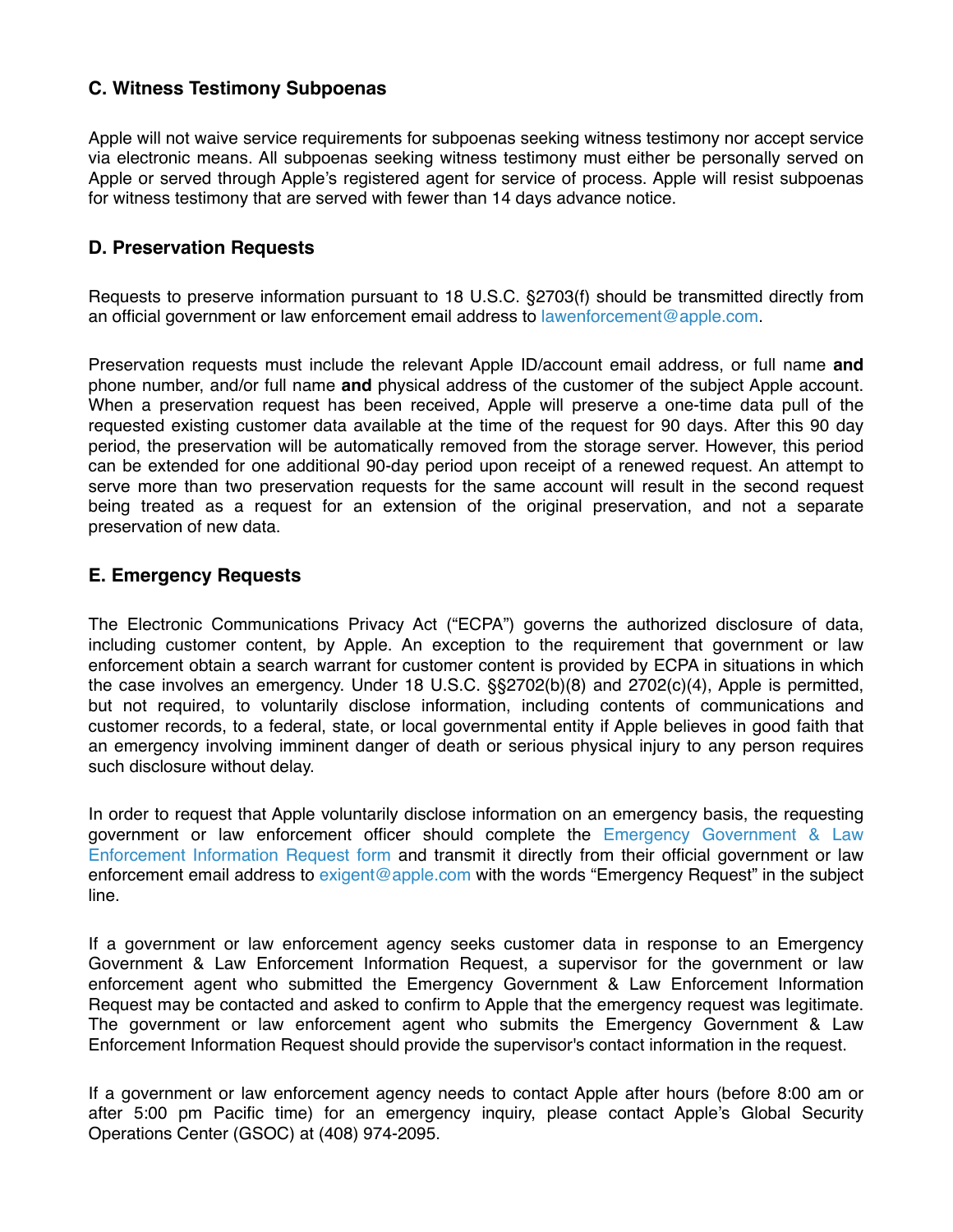#### **C. Witness Testimony Subpoenas**

Apple will not waive service requirements for subpoenas seeking witness testimony nor accept service via electronic means. All subpoenas seeking witness testimony must either be personally served on Apple or served through Apple's registered agent for service of process. Apple will resist subpoenas for witness testimony that are served with fewer than 14 days advance notice.

#### **D. Preservation Requests**

Requests to preserve information pursuant to 18 U.S.C. §2703(f) should be transmitted directly from an official government or law enforcement email address to [lawenforcement@apple.com](mailto:lawenforcement@apple.com).

Preservation requests must include the relevant Apple ID/account email address, or full name **and** phone number, and/or full name **and** physical address of the customer of the subject Apple account. When a preservation request has been received, Apple will preserve a one-time data pull of the requested existing customer data available at the time of the request for 90 days. After this 90 day period, the preservation will be automatically removed from the storage server. However, this period can be extended for one additional 90-day period upon receipt of a renewed request. An attempt to serve more than two preservation requests for the same account will result in the second request being treated as a request for an extension of the original preservation, and not a separate preservation of new data.

#### **E. Emergency Requests**

The Electronic Communications Privacy Act ("ECPA") governs the authorized disclosure of data, including customer content, by Apple. An exception to the requirement that government or law enforcement obtain a search warrant for customer content is provided by ECPA in situations in which the case involves an emergency. Under 18 U.S.C. §§2702(b)(8) and 2702(c)(4), Apple is permitted, but not required, to voluntarily disclose information, including contents of communications and customer records, to a federal, state, or local governmental entity if Apple believes in good faith that an emergency involving imminent danger of death or serious physical injury to any person requires such disclosure without delay.

In order to request that Apple voluntarily disclose information on an emergency basis, the requesting government or law enforcement officer should complete the Emergency [Government & Law](http://www.apple.com/legal/privacy/le-emergencyrequest.pdf) [Enforcement Information Request](http://www.apple.com/legal/privacy/le-emergencyrequest.pdf) form and transmit it directly from their official government or law enforcement email address to [exigent@apple.com](mailto:exigent@apple.com) with the words "Emergency Request" in the subject line.

If a government or law enforcement agency seeks customer data in response to an Emergency Government & Law Enforcement Information Request, a supervisor for the government or law enforcement agent who submitted the Emergency Government & Law Enforcement Information Request may be contacted and asked to confirm to Apple that the emergency request was legitimate. The government or law enforcement agent who submits the Emergency Government & Law Enforcement Information Request should provide the supervisor's contact information in the request.

If a government or law enforcement agency needs to contact Apple after hours (before 8:00 am or after 5:00 pm Pacific time) for an emergency inquiry, please contact Apple's Global Security Operations Center (GSOC) at (408) 974-2095.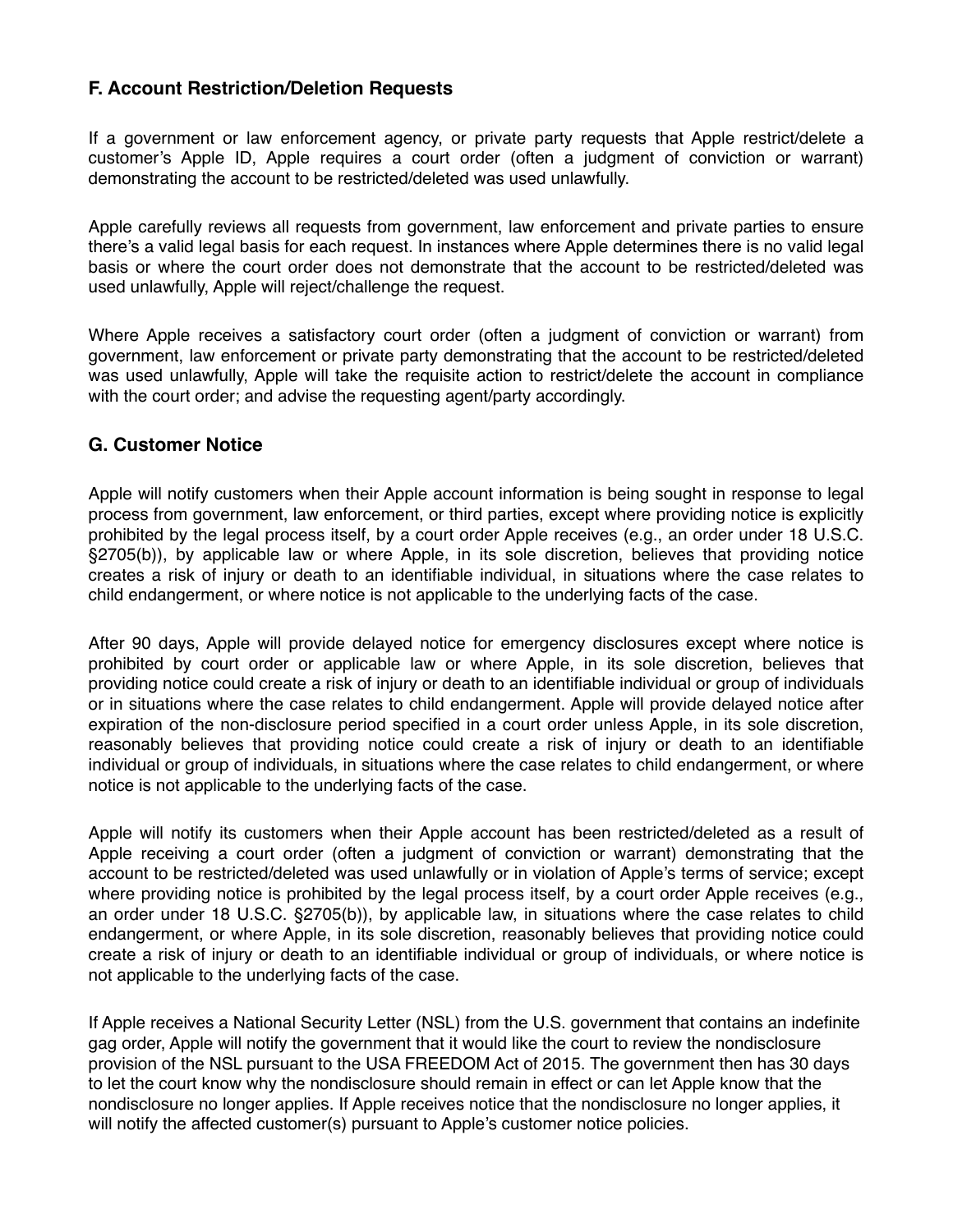## **F. Account Restriction/Deletion Requests**

If a government or law enforcement agency, or private party requests that Apple restrict/delete a customer's Apple ID, Apple requires a court order (often a judgment of conviction or warrant) demonstrating the account to be restricted/deleted was used unlawfully.

Apple carefully reviews all requests from government, law enforcement and private parties to ensure there's a valid legal basis for each request. In instances where Apple determines there is no valid legal basis or where the court order does not demonstrate that the account to be restricted/deleted was used unlawfully, Apple will reject/challenge the request.

Where Apple receives a satisfactory court order (often a judgment of conviction or warrant) from government, law enforcement or private party demonstrating that the account to be restricted/deleted was used unlawfully, Apple will take the requisite action to restrict/delete the account in compliance with the court order; and advise the requesting agent/party accordingly.

#### **G. Customer Notice**

Apple will notify customers when their Apple account information is being sought in response to legal process from government, law enforcement, or third parties, except where providing notice is explicitly prohibited by the legal process itself, by a court order Apple receives (e.g., an order under 18 U.S.C. §2705(b)), by applicable law or where Apple, in its sole discretion, believes that providing notice creates a risk of injury or death to an identifiable individual, in situations where the case relates to child endangerment, or where notice is not applicable to the underlying facts of the case.

After 90 days, Apple will provide delayed notice for emergency disclosures except where notice is prohibited by court order or applicable law or where Apple, in its sole discretion, believes that providing notice could create a risk of injury or death to an identifiable individual or group of individuals or in situations where the case relates to child endangerment. Apple will provide delayed notice after expiration of the non-disclosure period specified in a court order unless Apple, in its sole discretion, reasonably believes that providing notice could create a risk of injury or death to an identifiable individual or group of individuals, in situations where the case relates to child endangerment, or where notice is not applicable to the underlying facts of the case.

Apple will notify its customers when their Apple account has been restricted/deleted as a result of Apple receiving a court order (often a judgment of conviction or warrant) demonstrating that the account to be restricted/deleted was used unlawfully or in violation of Apple's terms of service; except where providing notice is prohibited by the legal process itself, by a court order Apple receives (e.g., an order under 18 U.S.C. §2705(b)), by applicable law, in situations where the case relates to child endangerment, or where Apple, in its sole discretion, reasonably believes that providing notice could create a risk of injury or death to an identifiable individual or group of individuals, or where notice is not applicable to the underlying facts of the case.

If Apple receives a National Security Letter (NSL) from the U.S. government that contains an indefinite gag order, Apple will notify the government that it would like the court to review the nondisclosure provision of the NSL pursuant to the USA FREEDOM Act of 2015. The government then has 30 days to let the court know why the nondisclosure should remain in effect or can let Apple know that the nondisclosure no longer applies. If Apple receives notice that the nondisclosure no longer applies, it will notify the affected customer(s) pursuant to Apple's customer notice policies.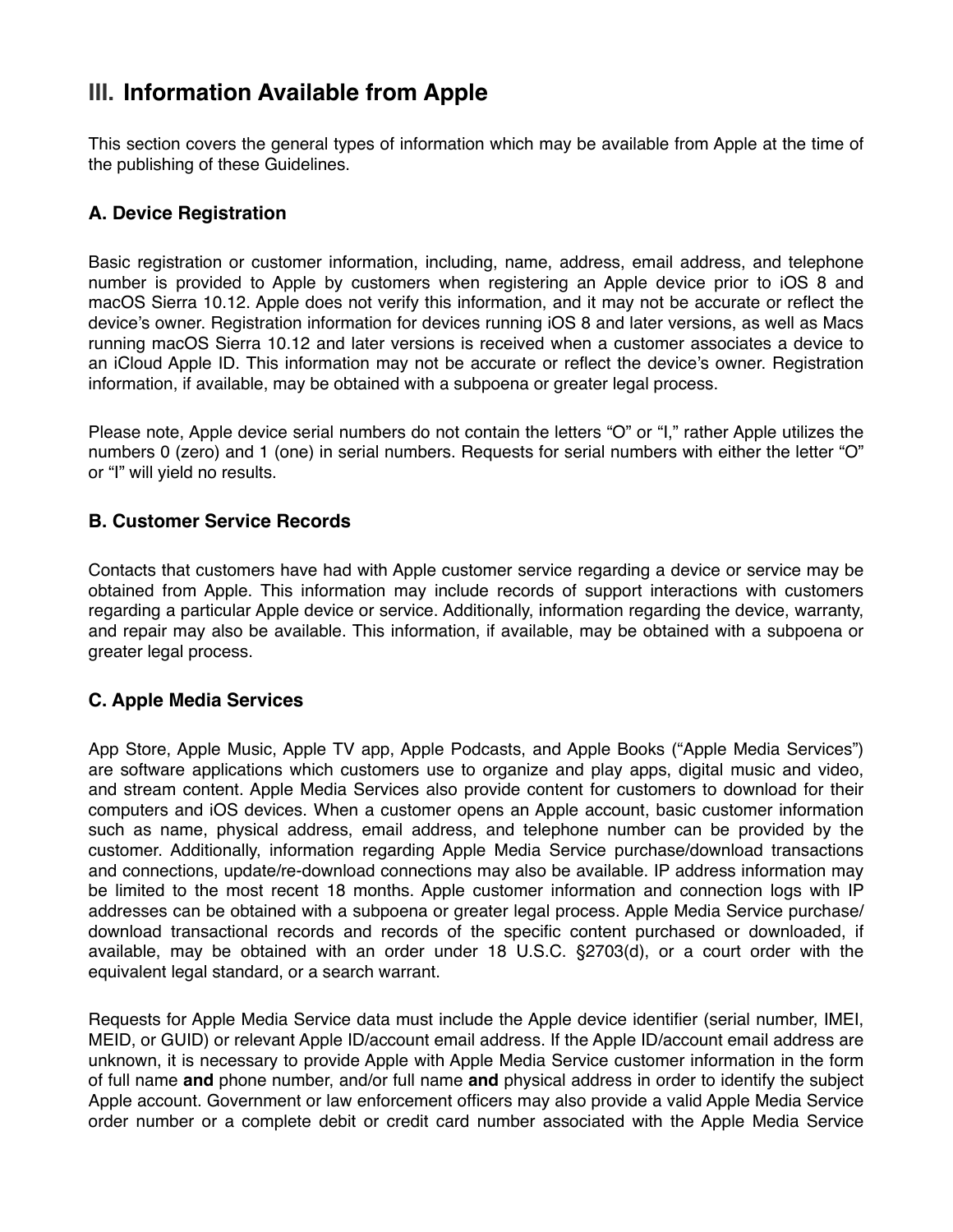# **III. Information Available from Apple**

This section covers the general types of information which may be available from Apple at the time of the publishing of these Guidelines.

# **A. Device Registration**

Basic registration or customer information, including, name, address, email address, and telephone number is provided to Apple by customers when registering an Apple device prior to iOS 8 and macOS Sierra 10.12. Apple does not verify this information, and it may not be accurate or reflect the device's owner. Registration information for devices running iOS 8 and later versions, as well as Macs running macOS Sierra 10.12 and later versions is received when a customer associates a device to an iCloud Apple ID. This information may not be accurate or reflect the device's owner. Registration information, if available, may be obtained with a subpoena or greater legal process.

Please note, Apple device serial numbers do not contain the letters "O" or "I," rather Apple utilizes the numbers 0 (zero) and 1 (one) in serial numbers. Requests for serial numbers with either the letter "O" or "I" will yield no results.

## **B. Customer Service Records**

Contacts that customers have had with Apple customer service regarding a device or service may be obtained from Apple. This information may include records of support interactions with customers regarding a particular Apple device or service. Additionally, information regarding the device, warranty, and repair may also be available. This information, if available, may be obtained with a subpoena or greater legal process.

# **C. Apple Media Services**

App Store, Apple Music, Apple TV app, Apple Podcasts, and Apple Books ("Apple Media Services") are software applications which customers use to organize and play apps, digital music and video, and stream content. Apple Media Services also provide content for customers to download for their computers and iOS devices. When a customer opens an Apple account, basic customer information such as name, physical address, email address, and telephone number can be provided by the customer. Additionally, information regarding Apple Media Service purchase/download transactions and connections, update/re-download connections may also be available. IP address information may be limited to the most recent 18 months. Apple customer information and connection logs with IP addresses can be obtained with a subpoena or greater legal process. Apple Media Service purchase/ download transactional records and records of the specific content purchased or downloaded, if available, may be obtained with an order under 18 U.S.C. §2703(d), or a court order with the equivalent legal standard, or a search warrant.

Requests for Apple Media Service data must include the Apple device identifier (serial number, IMEI, MEID, or GUID) or relevant Apple ID/account email address. If the Apple ID/account email address are unknown, it is necessary to provide Apple with Apple Media Service customer information in the form of full name **and** phone number, and/or full name **and** physical address in order to identify the subject Apple account. Government or law enforcement officers may also provide a valid Apple Media Service order number or a complete debit or credit card number associated with the Apple Media Service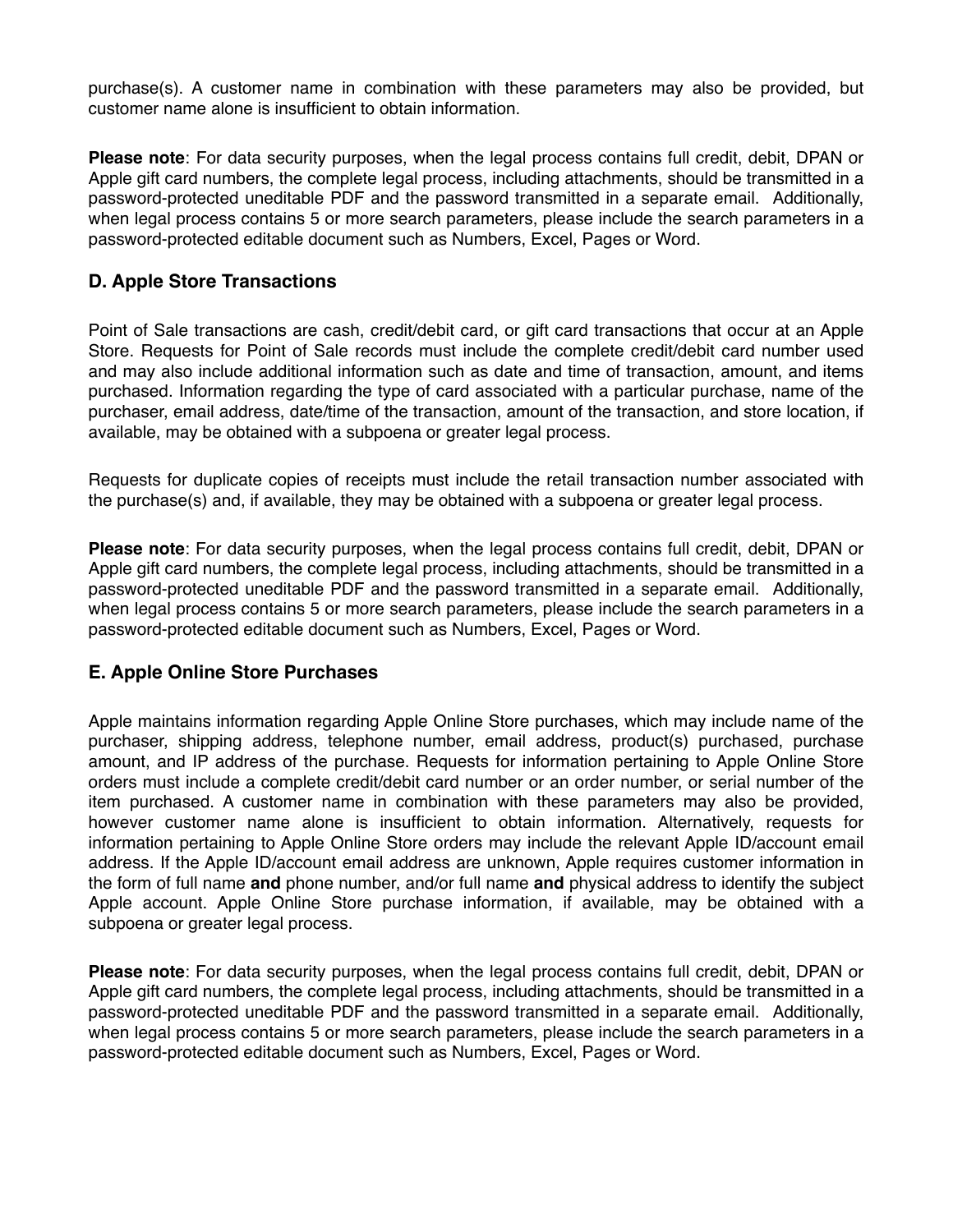purchase(s). A customer name in combination with these parameters may also be provided, but customer name alone is insufficient to obtain information.

**Please note**: For data security purposes, when the legal process contains full credit, debit, DPAN or Apple gift card numbers, the complete legal process, including attachments, should be transmitted in a password-protected uneditable PDF and the password transmitted in a separate email. Additionally, when legal process contains 5 or more search parameters, please include the search parameters in a password-protected editable document such as Numbers, Excel, Pages or Word.

### **D. Apple Store Transactions**

Point of Sale transactions are cash, credit/debit card, or gift card transactions that occur at an Apple Store. Requests for Point of Sale records must include the complete credit/debit card number used and may also include additional information such as date and time of transaction, amount, and items purchased. Information regarding the type of card associated with a particular purchase, name of the purchaser, email address, date/time of the transaction, amount of the transaction, and store location, if available, may be obtained with a subpoena or greater legal process.

Requests for duplicate copies of receipts must include the retail transaction number associated with the purchase(s) and, if available, they may be obtained with a subpoena or greater legal process.

**Please note**: For data security purposes, when the legal process contains full credit, debit, DPAN or Apple gift card numbers, the complete legal process, including attachments, should be transmitted in a password-protected uneditable PDF and the password transmitted in a separate email. Additionally, when legal process contains 5 or more search parameters, please include the search parameters in a password-protected editable document such as Numbers, Excel, Pages or Word.

#### **E. Apple Online Store Purchases**

Apple maintains information regarding Apple Online Store purchases, which may include name of the purchaser, shipping address, telephone number, email address, product(s) purchased, purchase amount, and IP address of the purchase. Requests for information pertaining to Apple Online Store orders must include a complete credit/debit card number or an order number, or serial number of the item purchased. A customer name in combination with these parameters may also be provided, however customer name alone is insufficient to obtain information. Alternatively, requests for information pertaining to Apple Online Store orders may include the relevant Apple ID/account email address. If the Apple ID/account email address are unknown, Apple requires customer information in the form of full name **and** phone number, and/or full name **and** physical address to identify the subject Apple account. Apple Online Store purchase information, if available, may be obtained with a subpoena or greater legal process.

**Please note**: For data security purposes, when the legal process contains full credit, debit, DPAN or Apple gift card numbers, the complete legal process, including attachments, should be transmitted in a password-protected uneditable PDF and the password transmitted in a separate email. Additionally, when legal process contains 5 or more search parameters, please include the search parameters in a password-protected editable document such as Numbers, Excel, Pages or Word.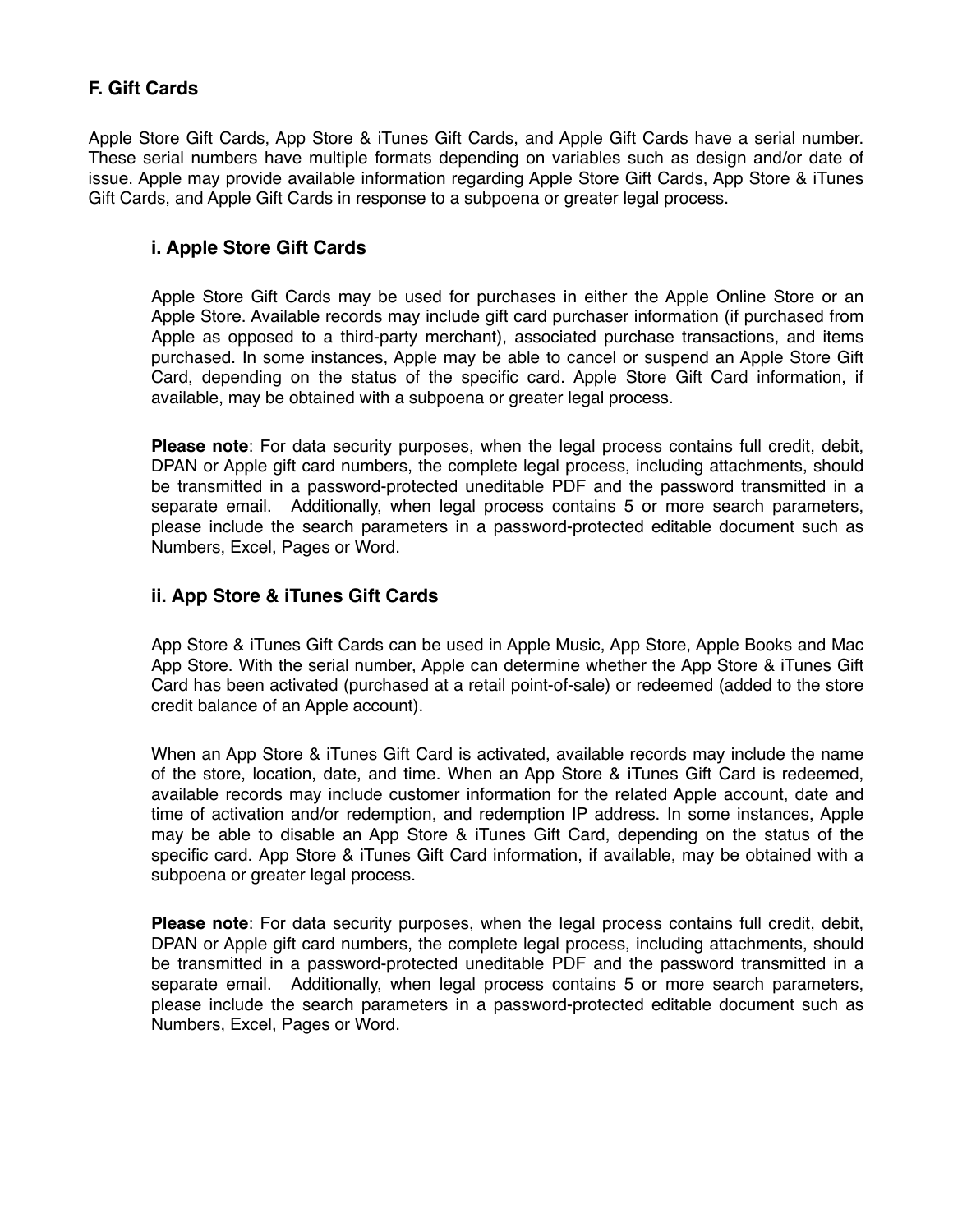## **F. Gift Cards**

Apple Store Gift Cards, App Store & iTunes Gift Cards, and Apple Gift Cards have a serial number. These serial numbers have multiple formats depending on variables such as design and/or date of issue. Apple may provide available information regarding Apple Store Gift Cards, App Store & iTunes Gift Cards, and Apple Gift Cards in response to a subpoena or greater legal process.

#### **i. Apple Store Gift Cards**

Apple Store Gift Cards may be used for purchases in either the Apple Online Store or an Apple Store. Available records may include gift card purchaser information (if purchased from Apple as opposed to a third-party merchant), associated purchase transactions, and items purchased. In some instances, Apple may be able to cancel or suspend an Apple Store Gift Card, depending on the status of the specific card. Apple Store Gift Card information, if available, may be obtained with a subpoena or greater legal process.

**Please note**: For data security purposes, when the legal process contains full credit, debit, DPAN or Apple gift card numbers, the complete legal process, including attachments, should be transmitted in a password-protected uneditable PDF and the password transmitted in a separate email. Additionally, when legal process contains 5 or more search parameters, please include the search parameters in a password-protected editable document such as Numbers, Excel, Pages or Word.

#### **ii. App Store & iTunes Gift Cards**

App Store & iTunes Gift Cards can be used in Apple Music, App Store, Apple Books and Mac App Store. With the serial number, Apple can determine whether the App Store & iTunes Gift Card has been activated (purchased at a retail point-of-sale) or redeemed (added to the store credit balance of an Apple account).

When an App Store & iTunes Gift Card is activated, available records may include the name of the store, location, date, and time. When an App Store & iTunes Gift Card is redeemed, available records may include customer information for the related Apple account, date and time of activation and/or redemption, and redemption IP address. In some instances, Apple may be able to disable an App Store & iTunes Gift Card, depending on the status of the specific card. App Store & iTunes Gift Card information, if available, may be obtained with a subpoena or greater legal process.

**Please note**: For data security purposes, when the legal process contains full credit, debit, DPAN or Apple gift card numbers, the complete legal process, including attachments, should be transmitted in a password-protected uneditable PDF and the password transmitted in a separate email. Additionally, when legal process contains 5 or more search parameters, please include the search parameters in a password-protected editable document such as Numbers, Excel, Pages or Word.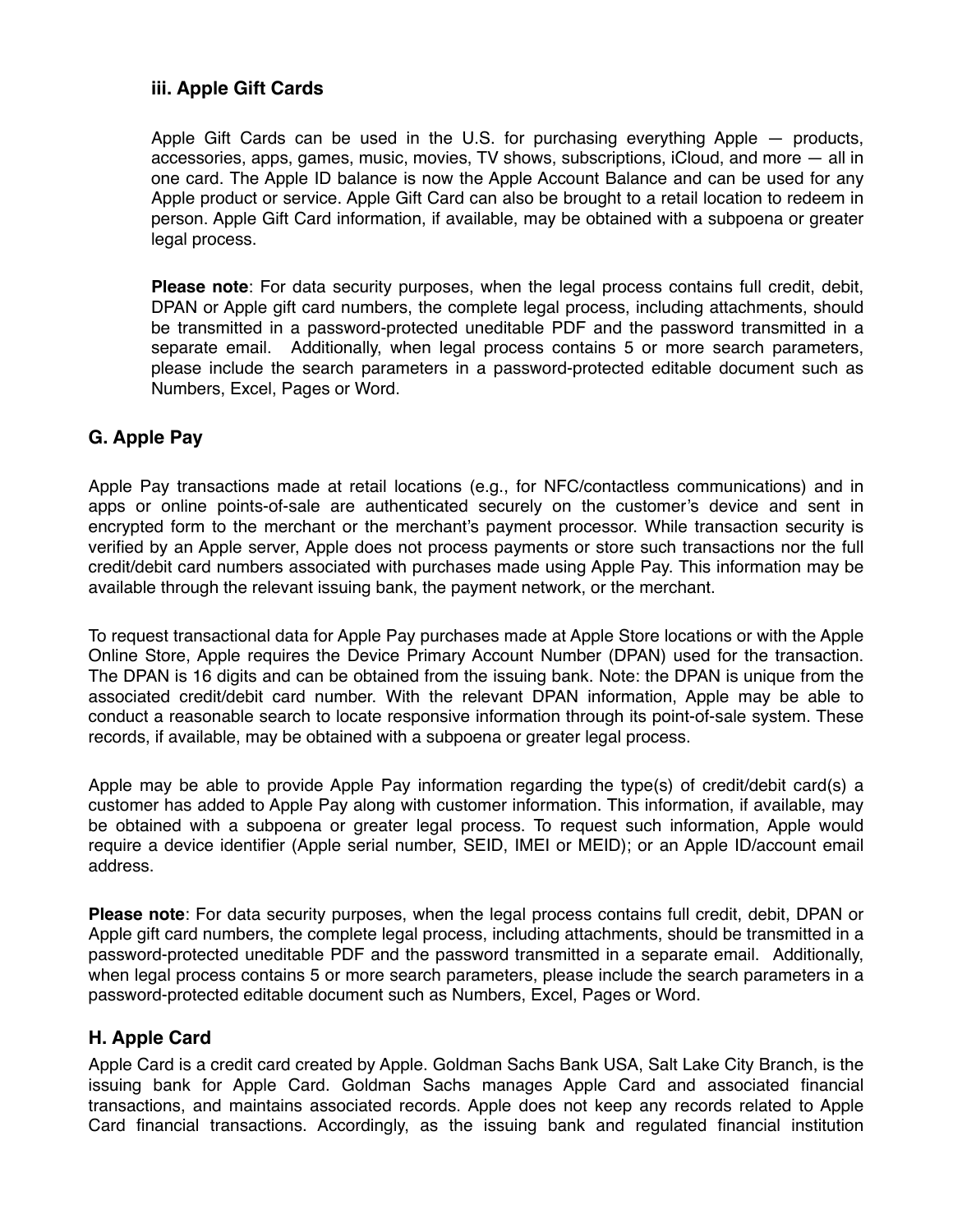### **iii. Apple Gift Cards**

Apple Gift Cards can be used in the U.S. for purchasing everything Apple — products, accessories, apps, games, music, movies, TV shows, subscriptions, iCloud, and more — all in one card. The Apple ID balance is now the Apple Account Balance and can be used for any Apple product or service. Apple Gift Card can also be brought to a retail location to redeem in person. Apple Gift Card information, if available, may be obtained with a subpoena or greater legal process.

**Please note**: For data security purposes, when the legal process contains full credit, debit, DPAN or Apple gift card numbers, the complete legal process, including attachments, should be transmitted in a password-protected uneditable PDF and the password transmitted in a separate email. Additionally, when legal process contains 5 or more search parameters, please include the search parameters in a password-protected editable document such as Numbers, Excel, Pages or Word.

#### **G. Apple Pay**

Apple Pay transactions made at retail locations (e.g., for NFC/contactless communications) and in apps or online points-of-sale are authenticated securely on the customer's device and sent in encrypted form to the merchant or the merchant's payment processor. While transaction security is verified by an Apple server, Apple does not process payments or store such transactions nor the full credit/debit card numbers associated with purchases made using Apple Pay. This information may be available through the relevant issuing bank, the payment network, or the merchant.

To request transactional data for Apple Pay purchases made at Apple Store locations or with the Apple Online Store, Apple requires the Device Primary Account Number (DPAN) used for the transaction. The DPAN is 16 digits and can be obtained from the issuing bank. Note: the DPAN is unique from the associated credit/debit card number. With the relevant DPAN information, Apple may be able to conduct a reasonable search to locate responsive information through its point-of-sale system. These records, if available, may be obtained with a subpoena or greater legal process.

Apple may be able to provide Apple Pay information regarding the type(s) of credit/debit card(s) a customer has added to Apple Pay along with customer information. This information, if available, may be obtained with a subpoena or greater legal process. To request such information, Apple would require a device identifier (Apple serial number, SEID, IMEI or MEID); or an Apple ID/account email address.

**Please note**: For data security purposes, when the legal process contains full credit, debit, DPAN or Apple gift card numbers, the complete legal process, including attachments, should be transmitted in a password-protected uneditable PDF and the password transmitted in a separate email. Additionally, when legal process contains 5 or more search parameters, please include the search parameters in a password-protected editable document such as Numbers, Excel, Pages or Word.

#### **H. Apple Card**

Apple Card is a credit card created by Apple. Goldman Sachs Bank USA, Salt Lake City Branch, is the issuing bank for Apple Card. Goldman Sachs manages Apple Card and associated financial transactions, and maintains associated records. Apple does not keep any records related to Apple Card financial transactions. Accordingly, as the issuing bank and regulated financial institution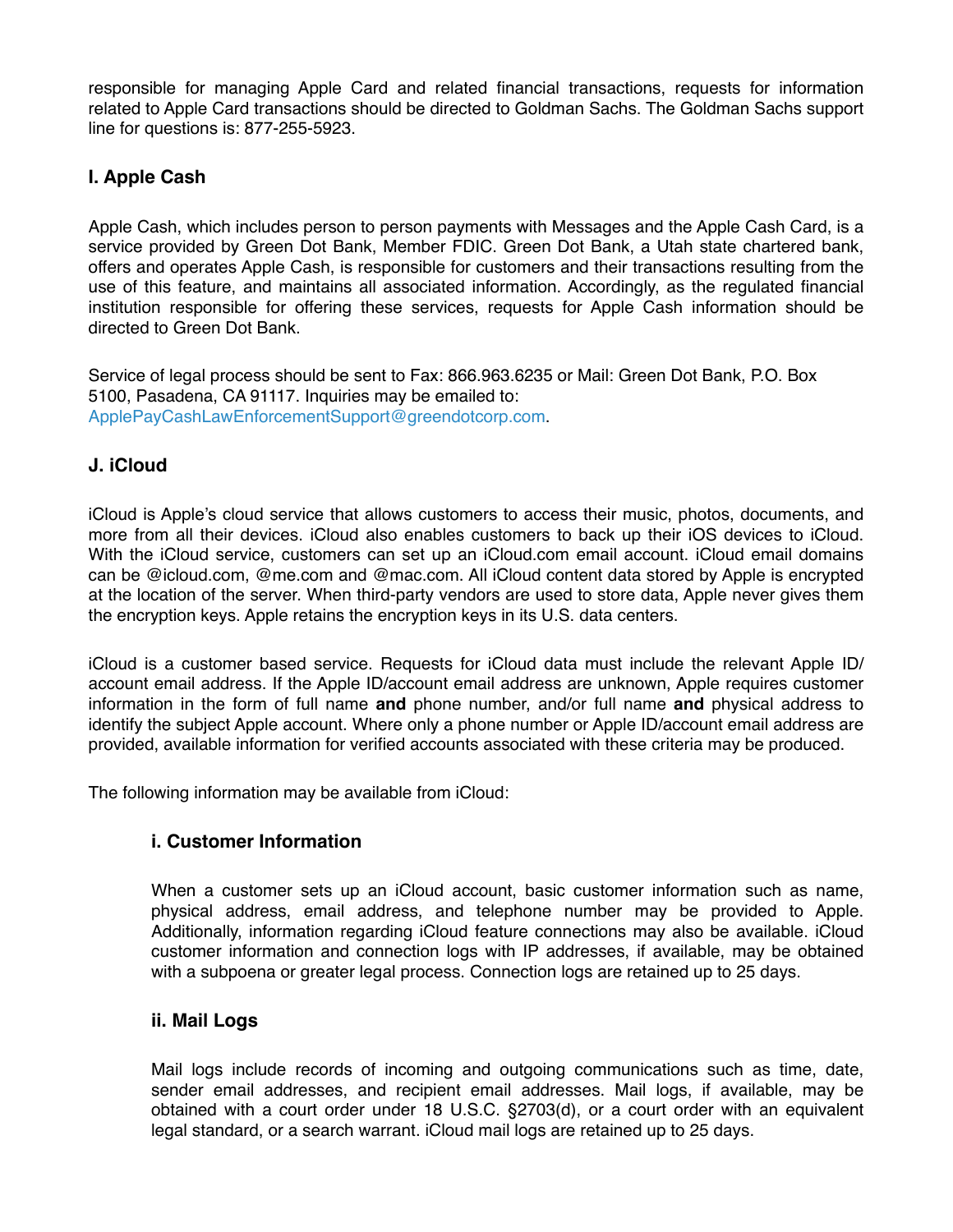responsible for managing Apple Card and related financial transactions, requests for information related to Apple Card transactions should be directed to Goldman Sachs. The Goldman Sachs support line for questions is: 877-255-5923.

# **I. Apple Cash**

Apple Cash, which includes person to person payments with Messages and the Apple Cash Card, is a service provided by Green Dot Bank, Member FDIC. Green Dot Bank, a Utah state chartered bank, offers and operates Apple Cash, is responsible for customers and their transactions resulting from the use of this feature, and maintains all associated information. Accordingly, as the regulated financial institution responsible for offering these services, requests for Apple Cash information should be directed to Green Dot Bank.

Service of legal process should be sent to Fax: 866.963.6235 or Mail: Green Dot Bank, P.O. Box 5100, Pasadena, CA 91117. Inquiries may be emailed to: [ApplePayCashLawEnforcementSupport@greendotcorp.com.](mailto:ApplePayCashLawEnforcementSupport@greendotcorp.com)

## **J. iCloud**

iCloud is Apple's cloud service that allows customers to access their music, photos, documents, and more from all their devices. iCloud also enables customers to back up their iOS devices to iCloud. With the iCloud service, customers can set up an iCloud.com email account. iCloud email domains can be @icloud.com, @me.com and @mac.com. All iCloud content data stored by Apple is encrypted at the location of the server. When third-party vendors are used to store data, Apple never gives them the encryption keys. Apple retains the encryption keys in its U.S. data centers.

iCloud is a customer based service. Requests for iCloud data must include the relevant Apple ID/ account email address. If the Apple ID/account email address are unknown, Apple requires customer information in the form of full name **and** phone number, and/or full name **and** physical address to identify the subject Apple account. Where only a phone number or Apple ID/account email address are provided, available information for verified accounts associated with these criteria may be produced.

The following information may be available from iCloud:

#### **i. Customer Information**

When a customer sets up an iCloud account, basic customer information such as name, physical address, email address, and telephone number may be provided to Apple. Additionally, information regarding iCloud feature connections may also be available. iCloud customer information and connection logs with IP addresses, if available, may be obtained with a subpoena or greater legal process. Connection logs are retained up to 25 days.

#### **ii. Mail Logs**

Mail logs include records of incoming and outgoing communications such as time, date, sender email addresses, and recipient email addresses. Mail logs, if available, may be obtained with a court order under 18 U.S.C. §2703(d), or a court order with an equivalent legal standard, or a search warrant. iCloud mail logs are retained up to 25 days.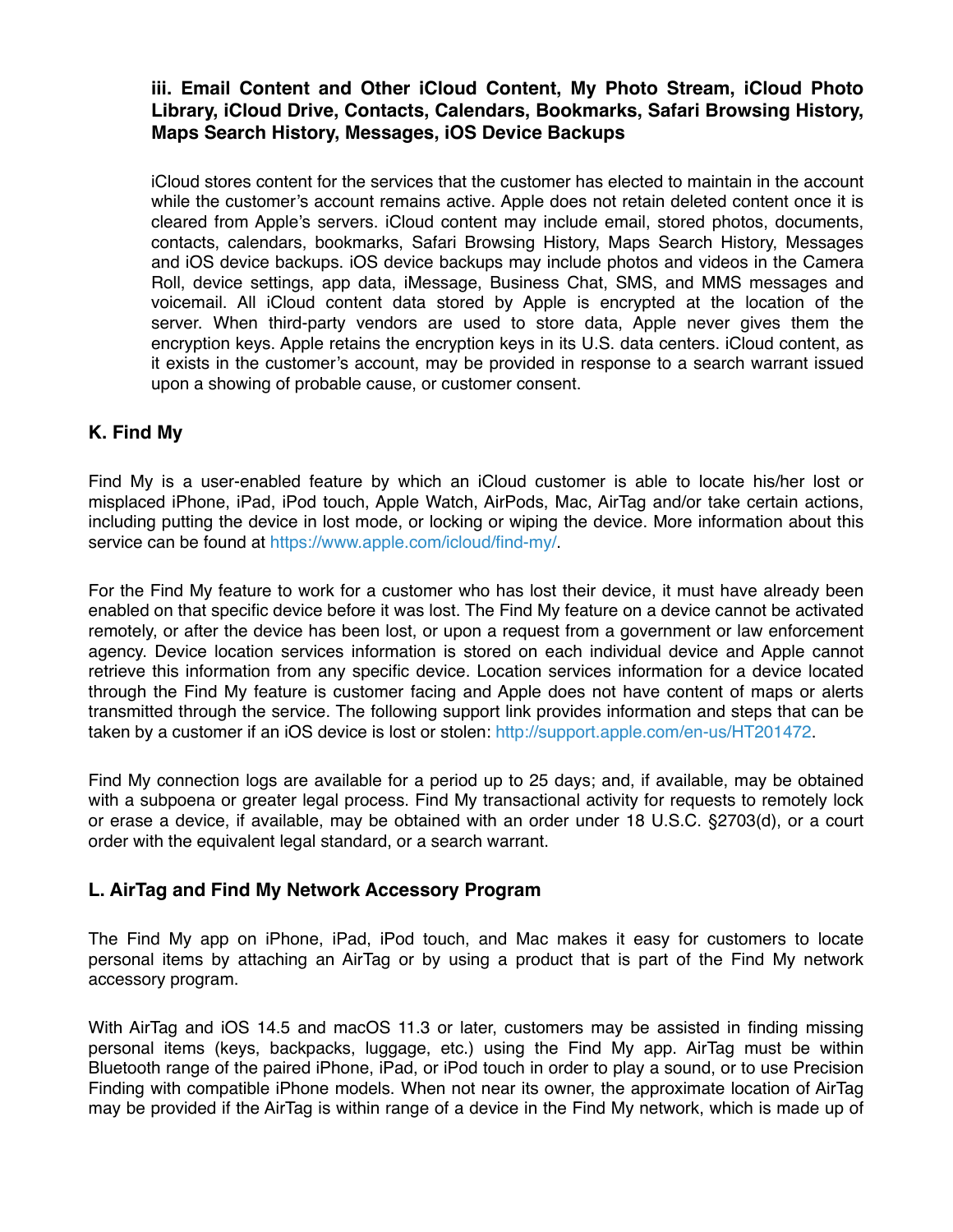### **iii. Email Content and Other iCloud Content, My Photo Stream, iCloud Photo Library, iCloud Drive, Contacts, Calendars, Bookmarks, Safari Browsing History, Maps Search History, Messages, iOS Device Backups**

iCloud stores content for the services that the customer has elected to maintain in the account while the customer's account remains active. Apple does not retain deleted content once it is cleared from Apple's servers. iCloud content may include email, stored photos, documents, contacts, calendars, bookmarks, Safari Browsing History, Maps Search History, Messages and iOS device backups. iOS device backups may include photos and videos in the Camera Roll, device settings, app data, iMessage, Business Chat, SMS, and MMS messages and voicemail. All iCloud content data stored by Apple is encrypted at the location of the server. When third-party vendors are used to store data, Apple never gives them the encryption keys. Apple retains the encryption keys in its U.S. data centers. iCloud content, as it exists in the customer's account, may be provided in response to a search warrant issued upon a showing of probable cause, or customer consent.

## **K. Find My**

Find My is a user-enabled feature by which an iCloud customer is able to locate his/her lost or misplaced iPhone, iPad, iPod touch, Apple Watch, AirPods, Mac, AirTag and/or take certain actions, including putting the device in lost mode, or locking or wiping the device. More information about this service can be found at [https://www.apple.com/icloud/find-my/.](https://www.apple.com/icloud/find-my/)

For the Find My feature to work for a customer who has lost their device, it must have already been enabled on that specific device before it was lost. The Find My feature on a device cannot be activated remotely, or after the device has been lost, or upon a request from a government or law enforcement agency. Device location services information is stored on each individual device and Apple cannot retrieve this information from any specific device. Location services information for a device located through the Find My feature is customer facing and Apple does not have content of maps or alerts transmitted through the service. The following support link provides information and steps that can be taken by a customer if an iOS device is lost or stolen: [http://support.apple.com/en-us/HT201472.](http://support.apple.com/en-us/HT201472)

Find My connection logs are available for a period up to 25 days; and, if available, may be obtained with a subpoena or greater legal process. Find My transactional activity for requests to remotely lock or erase a device, if available, may be obtained with an order under 18 U.S.C. §2703(d), or a court order with the equivalent legal standard, or a search warrant.

#### **L. AirTag and Find My Network Accessory Program**

The Find My app on iPhone, iPad, iPod touch, and Mac makes it easy for customers to locate personal items by attaching an AirTag or by using a product that is part of the Find My network accessory program.

With AirTag and iOS 14.5 and macOS 11.3 or later, customers may be assisted in finding missing personal items (keys, backpacks, luggage, etc.) using the Find My app. AirTag must be within Bluetooth range of the paired iPhone, iPad, or iPod touch in order to play a sound, or to use Precision Finding with compatible iPhone models. When not near its owner, the approximate location of AirTag may be provided if the AirTag is within range of a device in the Find My network, which is made up of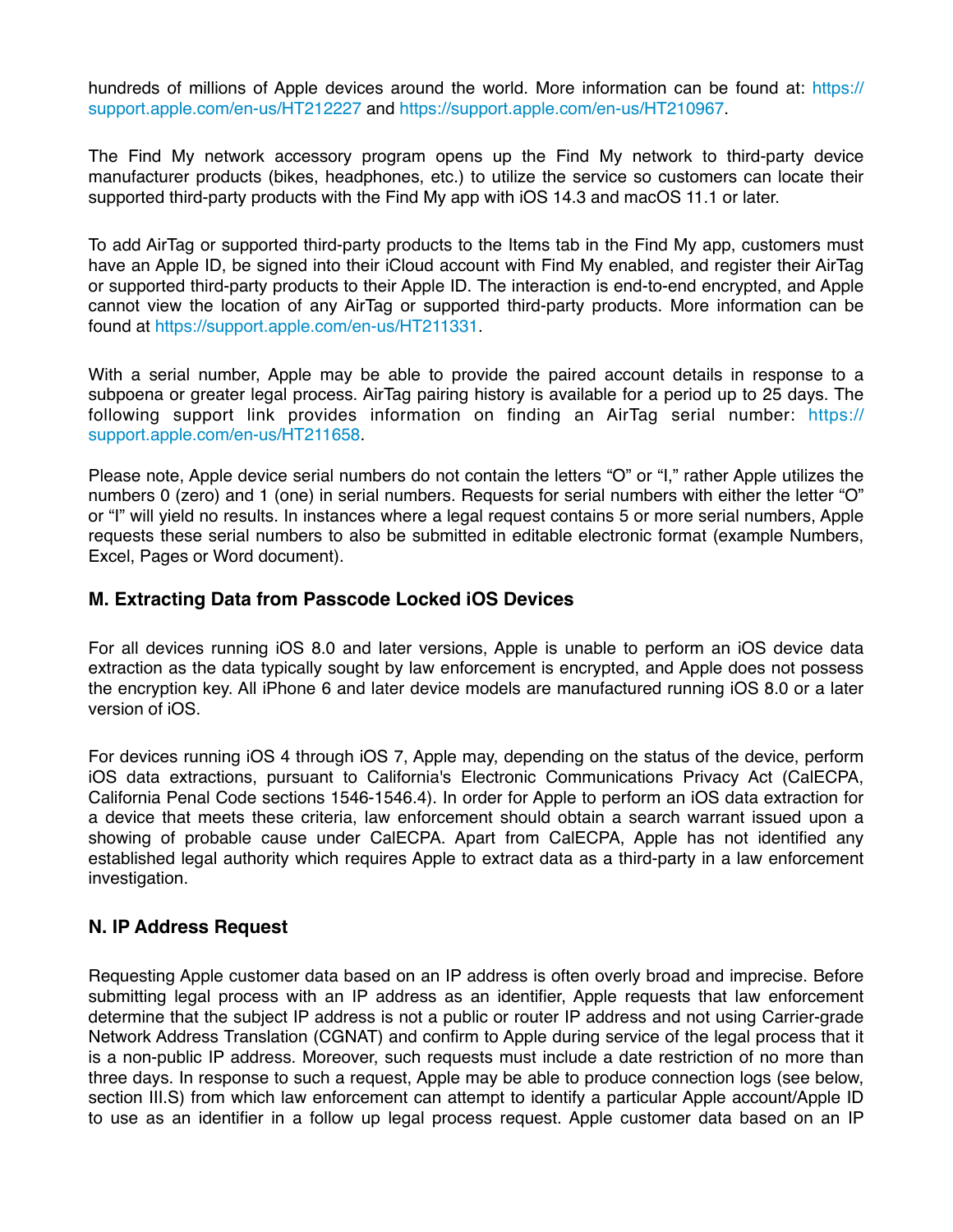hundreds of millions of Apple devices around the world. More information can be found at: [https://](https://support.apple.com/en-us/HT212227) [support.apple.com/en-us/HT212227](https://support.apple.com/en-us/HT212227) and <https://support.apple.com/en-us/HT210967>.

The Find My network accessory program opens up the Find My network to third-party device manufacturer products (bikes, headphones, etc.) to utilize the service so customers can locate their supported third-party products with the Find My app with iOS 14.3 and macOS 11.1 or later.

To add AirTag or supported third-party products to the Items tab in the Find My app, customers must have an Apple ID, be signed into their iCloud account with Find My enabled, and register their AirTag or supported third-party products to their Apple ID. The interaction is end-to-end encrypted, and Apple cannot view the location of any AirTag or supported third-party products. More information can be found at <https://support.apple.com/en-us/HT211331>.

With a serial number, Apple may be able to provide the paired account details in response to a subpoena or greater legal process. AirTag pairing history is available for a period up to 25 days. The following support link provides information on finding an AirTag serial number: [https://](https://support.apple.com/en-us/HT211658) [support.apple.com/en-us/HT211658.](https://support.apple.com/en-us/HT211658)

Please note, Apple device serial numbers do not contain the letters "O" or "I," rather Apple utilizes the numbers 0 (zero) and 1 (one) in serial numbers. Requests for serial numbers with either the letter "O" or "I" will yield no results. In instances where a legal request contains 5 or more serial numbers, Apple requests these serial numbers to also be submitted in editable electronic format (example Numbers, Excel, Pages or Word document).

#### **M. Extracting Data from Passcode Locked iOS Devices**

For all devices running iOS 8.0 and later versions, Apple is unable to perform an iOS device data extraction as the data typically sought by law enforcement is encrypted, and Apple does not possess the encryption key. All iPhone 6 and later device models are manufactured running iOS 8.0 or a later version of iOS.

For devices running iOS 4 through iOS 7, Apple may, depending on the status of the device, perform iOS data extractions, pursuant to California's Electronic Communications Privacy Act (CalECPA, California Penal Code sections 1546-1546.4). In order for Apple to perform an iOS data extraction for a device that meets these criteria, law enforcement should obtain a search warrant issued upon a showing of probable cause under CalECPA. Apart from CalECPA, Apple has not identified any established legal authority which requires Apple to extract data as a third-party in a law enforcement investigation.

#### **N. IP Address Request**

Requesting Apple customer data based on an IP address is often overly broad and imprecise. Before submitting legal process with an IP address as an identifier, Apple requests that law enforcement determine that the subject IP address is not a public or router IP address and not using Carrier-grade Network Address Translation (CGNAT) and confirm to Apple during service of the legal process that it is a non-public IP address. Moreover, such requests must include a date restriction of no more than three days. In response to such a request, Apple may be able to produce connection logs (see below, section III.S) from which law enforcement can attempt to identify a particular Apple account/Apple ID to use as an identifier in a follow up legal process request. Apple customer data based on an IP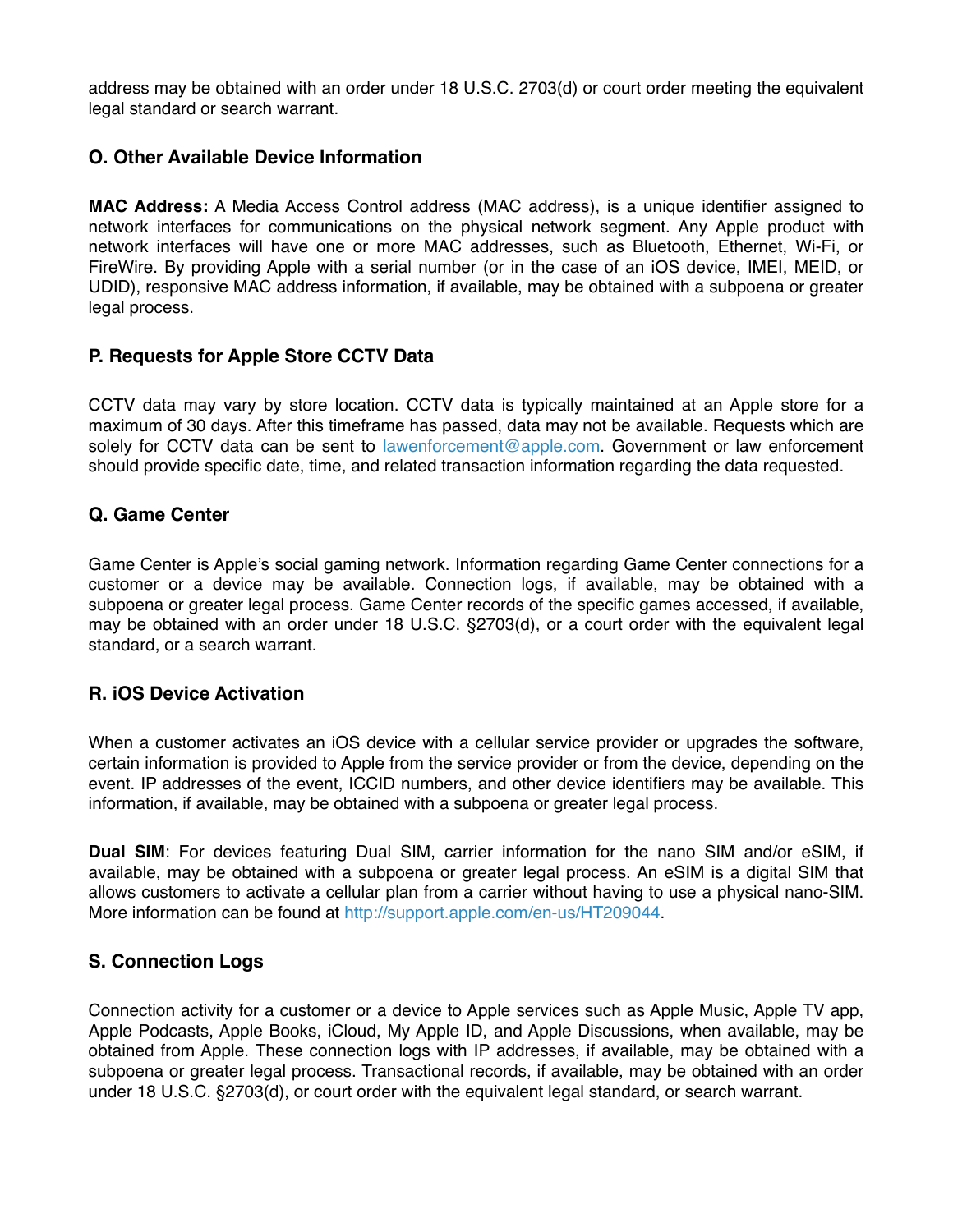address may be obtained with an order under 18 U.S.C. 2703(d) or court order meeting the equivalent legal standard or search warrant.

### **O. Other Available Device Information**

**MAC Address:** A Media Access Control address (MAC address), is a unique identifier assigned to network interfaces for communications on the physical network segment. Any Apple product with network interfaces will have one or more MAC addresses, such as Bluetooth, Ethernet, Wi-Fi, or FireWire. By providing Apple with a serial number (or in the case of an iOS device, IMEI, MEID, or UDID), responsive MAC address information, if available, may be obtained with a subpoena or greater legal process.

#### **P. Requests for Apple Store CCTV Data**

CCTV data may vary by store location. CCTV data is typically maintained at an Apple store for a maximum of 30 days. After this timeframe has passed, data may not be available. Requests which are solely for CCTV data can be sent to [lawenforcement@apple.com.](mailto:lawenforcement@apple.com) Government or law enforcement should provide specific date, time, and related transaction information regarding the data requested.

#### **Q. Game Center**

Game Center is Apple's social gaming network. Information regarding Game Center connections for a customer or a device may be available. Connection logs, if available, may be obtained with a subpoena or greater legal process. Game Center records of the specific games accessed, if available, may be obtained with an order under 18 U.S.C. §2703(d), or a court order with the equivalent legal standard, or a search warrant.

#### **R. iOS Device Activation**

When a customer activates an iOS device with a cellular service provider or upgrades the software, certain information is provided to Apple from the service provider or from the device, depending on the event. IP addresses of the event, ICCID numbers, and other device identifiers may be available. This information, if available, may be obtained with a subpoena or greater legal process.

**Dual SIM**: For devices featuring Dual SIM, carrier information for the nano SIM and/or eSIM, if available, may be obtained with a subpoena or greater legal process. An eSIM is a digital SIM that allows customers to activate a cellular plan from a carrier without having to use a physical nano-SIM. More information can be found at<http://support.apple.com/en-us/HT209044>.

# **S. Connection Logs**

Connection activity for a customer or a device to Apple services such as Apple Music, Apple TV app, Apple Podcasts, Apple Books, iCloud, My Apple ID, and Apple Discussions, when available, may be obtained from Apple. These connection logs with IP addresses, if available, may be obtained with a subpoena or greater legal process. Transactional records, if available, may be obtained with an order under 18 U.S.C. §2703(d), or court order with the equivalent legal standard, or search warrant.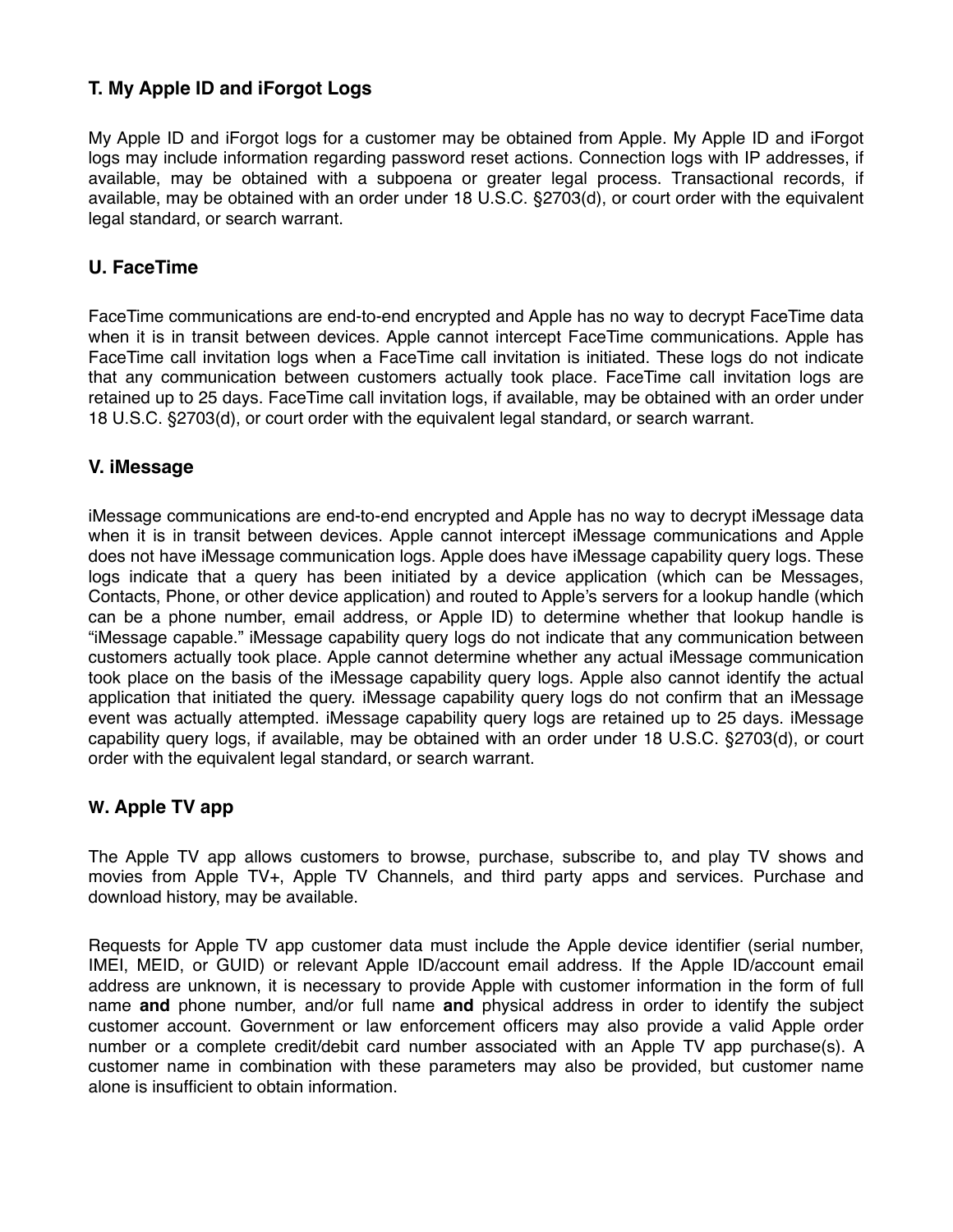# **T. My Apple ID and iForgot Logs**

My Apple ID and iForgot logs for a customer may be obtained from Apple. My Apple ID and iForgot logs may include information regarding password reset actions. Connection logs with IP addresses, if available, may be obtained with a subpoena or greater legal process. Transactional records, if available, may be obtained with an order under 18 U.S.C. §2703(d), or court order with the equivalent legal standard, or search warrant.

#### **U. FaceTime**

FaceTime communications are end-to-end encrypted and Apple has no way to decrypt FaceTime data when it is in transit between devices. Apple cannot intercept FaceTime communications. Apple has FaceTime call invitation logs when a FaceTime call invitation is initiated. These logs do not indicate that any communication between customers actually took place. FaceTime call invitation logs are retained up to 25 days. FaceTime call invitation logs, if available, may be obtained with an order under 18 U.S.C. §2703(d), or court order with the equivalent legal standard, or search warrant.

#### **V. iMessage**

iMessage communications are end-to-end encrypted and Apple has no way to decrypt iMessage data when it is in transit between devices. Apple cannot intercept iMessage communications and Apple does not have iMessage communication logs. Apple does have iMessage capability query logs. These logs indicate that a query has been initiated by a device application (which can be Messages, Contacts, Phone, or other device application) and routed to Apple's servers for a lookup handle (which can be a phone number, email address, or Apple ID) to determine whether that lookup handle is "iMessage capable." iMessage capability query logs do not indicate that any communication between customers actually took place. Apple cannot determine whether any actual iMessage communication took place on the basis of the iMessage capability query logs. Apple also cannot identify the actual application that initiated the query. iMessage capability query logs do not confirm that an iMessage event was actually attempted. iMessage capability query logs are retained up to 25 days. iMessage capability query logs, if available, may be obtained with an order under 18 U.S.C. §2703(d), or court order with the equivalent legal standard, or search warrant.

#### **W. Apple TV app**

The Apple TV app allows customers to browse, purchase, subscribe to, and play TV shows and movies from Apple TV+, Apple TV Channels, and third party apps and services. Purchase and download history, may be available.

Requests for Apple TV app customer data must include the Apple device identifier (serial number, IMEI, MEID, or GUID) or relevant Apple ID/account email address. If the Apple ID/account email address are unknown, it is necessary to provide Apple with customer information in the form of full name **and** phone number, and/or full name **and** physical address in order to identify the subject customer account. Government or law enforcement officers may also provide a valid Apple order number or a complete credit/debit card number associated with an Apple TV app purchase(s). A customer name in combination with these parameters may also be provided, but customer name alone is insufficient to obtain information.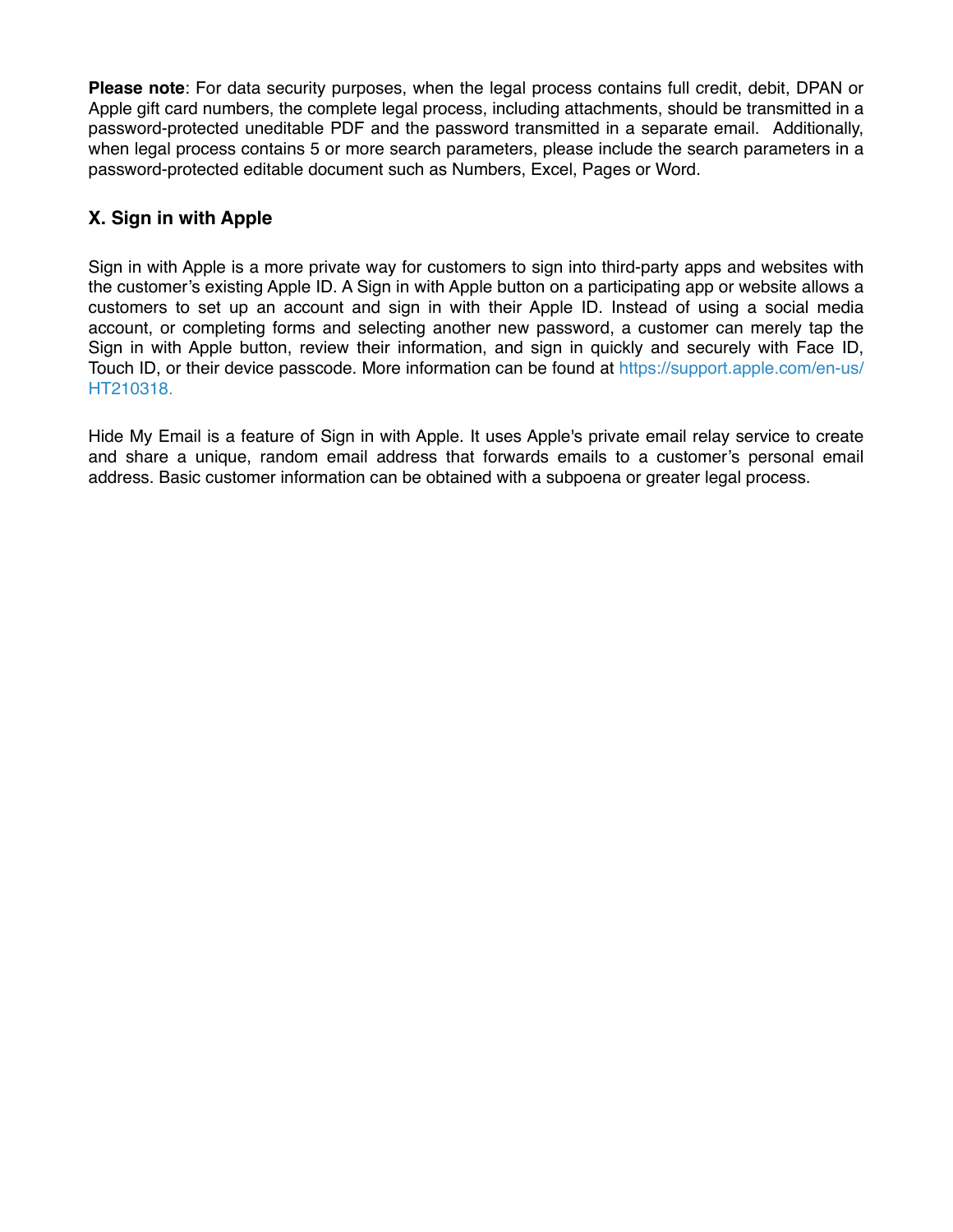**Please note**: For data security purposes, when the legal process contains full credit, debit, DPAN or Apple gift card numbers, the complete legal process, including attachments, should be transmitted in a password-protected uneditable PDF and the password transmitted in a separate email. Additionally, when legal process contains 5 or more search parameters, please include the search parameters in a password-protected editable document such as Numbers, Excel, Pages or Word.

# **X. Sign in with Apple**

Sign in with Apple is a more private way for customers to sign into third-party apps and websites with the customer's existing Apple ID. A Sign in with Apple button on a participating app or website allows a customers to set up an account and sign in with their Apple ID. Instead of using a social media account, or completing forms and selecting another new password, a customer can merely tap the Sign in with Apple button, review their information, and sign in quickly and securely with Face ID, Touch ID, or their device passcode. More information can be found at [https://support.apple.com/en-us/](https://support.apple.com/en-us/HT210318) [HT210318](https://support.apple.com/en-us/HT210318).

Hide My Email is a feature of Sign in with Apple. It uses Apple's private email relay service to create and share a unique, random email address that forwards emails to a customer's personal email address. Basic customer information can be obtained with a subpoena or greater legal process.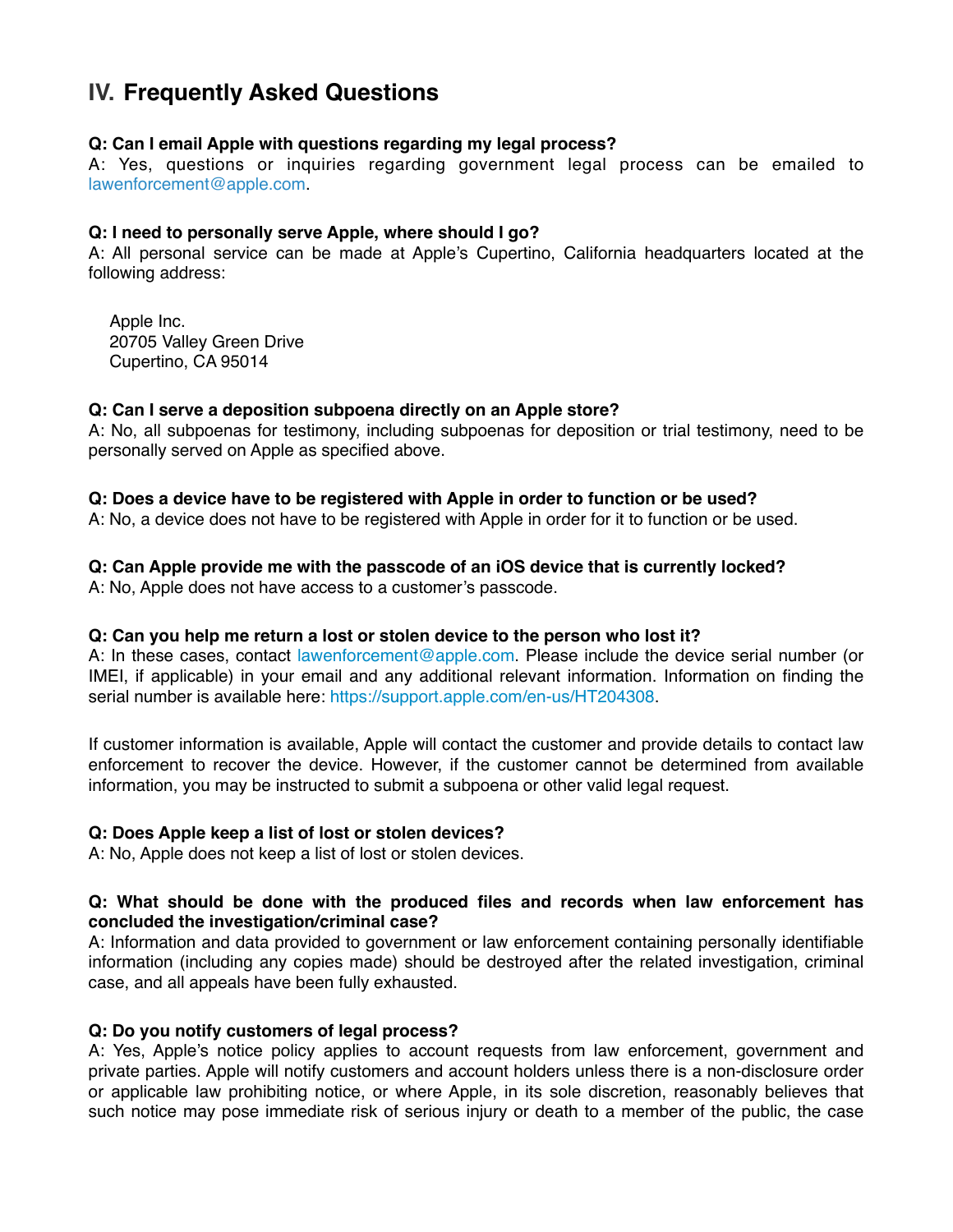# **IV. Frequently Asked Questions**

#### **Q: Can I email Apple with questions regarding my legal process?**

A: Yes, questions or inquiries regarding government legal process can be emailed to [lawenforcement@apple.com](mailto:lawenforcement@apple.com).

#### **Q: I need to personally serve Apple, where should I go?**

A: All personal service can be made at Apple's Cupertino, California headquarters located at the following address:

Apple Inc. 20705 Valley Green Drive Cupertino, CA 95014

#### **Q: Can I serve a deposition subpoena directly on an Apple store?**

A: No, all subpoenas for testimony, including subpoenas for deposition or trial testimony, need to be personally served on Apple as specified above.

#### **Q: Does a device have to be registered with Apple in order to function or be used?**

A: No, a device does not have to be registered with Apple in order for it to function or be used.

#### **Q: Can Apple provide me with the passcode of an iOS device that is currently locked?**

A: No, Apple does not have access to a customer's passcode.

#### **Q: Can you help me return a lost or stolen device to the person who lost it?**

A: In these cases, contact [lawenforcement@apple.com.](mailto:lawenforcement@apple.com) Please include the device serial number (or IMEI, if applicable) in your email and any additional relevant information. Information on finding the serial number is available here: [https://support.apple.com/en-us/HT204308.](https://support.apple.com/en-us/HT204308)

If customer information is available, Apple will contact the customer and provide details to contact law enforcement to recover the device. However, if the customer cannot be determined from available information, you may be instructed to submit a subpoena or other valid legal request.

#### **Q: Does Apple keep a list of lost or stolen devices?**

A: No, Apple does not keep a list of lost or stolen devices.

#### **Q: What should be done with the produced files and records when law enforcement has concluded the investigation/criminal case?**

A: Information and data provided to government or law enforcement containing personally identifiable information (including any copies made) should be destroyed after the related investigation, criminal case, and all appeals have been fully exhausted.

#### **Q: Do you notify customers of legal process?**

A: Yes, Apple's notice policy applies to account requests from law enforcement, government and private parties. Apple will notify customers and account holders unless there is a non-disclosure order or applicable law prohibiting notice, or where Apple, in its sole discretion, reasonably believes that such notice may pose immediate risk of serious injury or death to a member of the public, the case